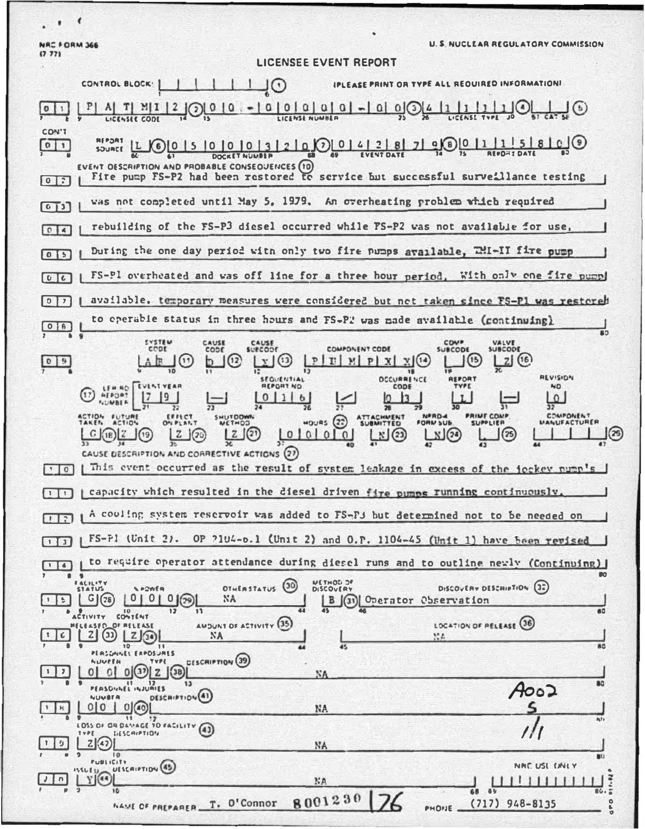NAC FORM 366<br>(7.77)

 $\cdot$ ,  $\cdot$ 

**U. S. NUCLEAR REGULATORY COMMISSION** 

|                                     | $\perp$ $\cup$ $\odot$<br>IPLEASE PRINT OR TYPE ALL REQUIRED INFORMATIONI<br><b>CONTROL BLOCK:</b>                                                                                                                        |
|-------------------------------------|---------------------------------------------------------------------------------------------------------------------------------------------------------------------------------------------------------------------------|
|                                     | 0 0 0 0 <br>$Q \mid Q \mid (3$<br>LICENSEE CODE                                                                                                                                                                           |
| CON'T<br>011                        | $0$ 5 0 0 0 1 3 2 0 0 1 4 2 8 7 9 0 1                                                                                                                                                                                     |
| [0]                                 | EVENT OESCRIPTION AND PROBABLE CONSEQUENCES (10)<br>Fire pump FS-P2 had been restored to service but successful surveillance testing                                                                                      |
| 013                                 | was not completed until May 5, 1979. An overheating problem which required                                                                                                                                                |
| 04                                  | rebuilding of the FS-P3 diesel occurred while PS-P2 was not available for use,                                                                                                                                            |
| 05                                  | During the one day period with only two fire pumps available, TMI-II fire pump                                                                                                                                            |
| U                                   | FS-Pl overheated and was off line for a three hour period. With only one fire pump                                                                                                                                        |
| 0 <br>$\overline{ }$                | available, temporary measures were considered but not taken since FS-Pl was restored                                                                                                                                      |
| $\circ$<br>8                        | to operable status in three hours and FS-P2 was made available (continuing)                                                                                                                                               |
|                                     | <b>COMP</b><br><b>SYSTEM</b><br>CAUSE<br>CAUSE<br>SUBCODE<br>COMPONENT CODE<br><b>CCDE</b><br><b>SUBCODE</b><br><b>SURCODE</b><br>CODE<br>(16)<br>$M$<br>P<br>п                                                           |
|                                     | <b>AEVISION</b><br><b>DCCURRENCE</b><br><b>SEQUENTIAL</b><br><b>REPORT</b><br>CODE<br>NO<br><b>IFPORT NO</b><br>LEM RO<br><b>REPORT</b><br>$\Omega$                                                                       |
|                                     | $\mathbf b$<br>COMPONENT<br><b>NPRD-4</b><br><b>PRIME COMP</b><br>FUTUR<br>ERRECT<br>SHUTDOWN                                                                                                                             |
|                                     | $MOUBS$ (22)<br><b>MANUFACTURER</b><br><b>SUBMITTED</b><br>ACTION<br>ON PLANT<br>FORM SUB<br>WETHOD<br><b>SUPPLIER</b><br>(23)<br>(20)<br>$00000$<br>N (24<br>18                                                          |
|                                     | CAUSE DESCRIPTION AND CORRECTIVE ACTIONS (27)                                                                                                                                                                             |
| 10                                  | This event occurred as the result of system leakage in excess of the jeckey pump's                                                                                                                                        |
| $\mathbf{I}$                        | capacity which resulted in the diesel driven fire pumps running continuously,                                                                                                                                             |
| $\mathbb{R}$                        | A couling system reservoir was added to FS-F3 but determined not to be needed on                                                                                                                                          |
| $\vert \cdot \vert$<br>$\mathbf{1}$ | $FS-F1$ (Unit 2). OP $2104-0.1$ (Unit 2) and O.P. 1104-45 (Unit 1) have been revised                                                                                                                                      |
| $\triangle$                         | to require operator attendance during diesel runs and to outline newly (Continuing)<br>$\blacksquare$                                                                                                                     |
| ь                                   | <b>NETHOD JF</b><br><b>FACILITY</b><br>OTHERSTATUS (30)<br>DISCOVERY DESCRIPTION (32)<br>$\mathbf{v}$ P2WER<br><b>DISCOVERY</b><br><b>STATUS</b><br>0 <sub>1</sub><br>0(29)<br>NA<br>76<br>(31) Operator Observation<br>в |
|                                     | 60<br>CONTENT<br>LOCATION OF RELEASE (36)<br>AMOUNT OF ACTIVITY (35)                                                                                                                                                      |
| 6<br>$\mathbf{r}$                   | (11)<br>Z <sub>1</sub><br>Z/34<br>NА<br>NA.<br>- – 11<br>80<br>$\bullet$<br>10<br>45<br>44<br>PERSONNEL EXPOSURES                                                                                                         |
|                                     | DESCRIPTION <sub>(39)</sub><br>NUMEEN<br><b>TYPE</b><br>0 0(3) z 38<br>NA<br>80<br>13                                                                                                                                     |
|                                     | PERSONNEL INJURIES<br>A002<br>DESCRIPTION <sup>(41)</sup><br>NUMBER<br>O (40)<br>0<br>NA.                                                                                                                                 |
|                                     | 11<br>12<br>$a_1r_1$<br>LOSS OF OR DAMAGE TO FACILITY (43)                                                                                                                                                                |
| Đ                                   | <b>SIESCHIPTION</b><br>TYPE.<br>2(47)<br>NA<br>10                                                                                                                                                                         |
|                                     | \$0<br><b>PUBLICITY</b><br>NRC. USL CANLY<br>UESCRIPTION (45)<br>ハくしじけ<br>$Y$ $(a)$                                                                                                                                       |
|                                     | NA<br>68<br>69<br>16.7<br>8001230                                                                                                                                                                                         |
|                                     | NAME OF PREPARER T. O'Connor<br>$(717)$ 948-8135<br>۰<br>PHONE<br>b<br>O                                                                                                                                                  |

LICENSEE EVENT REPORT